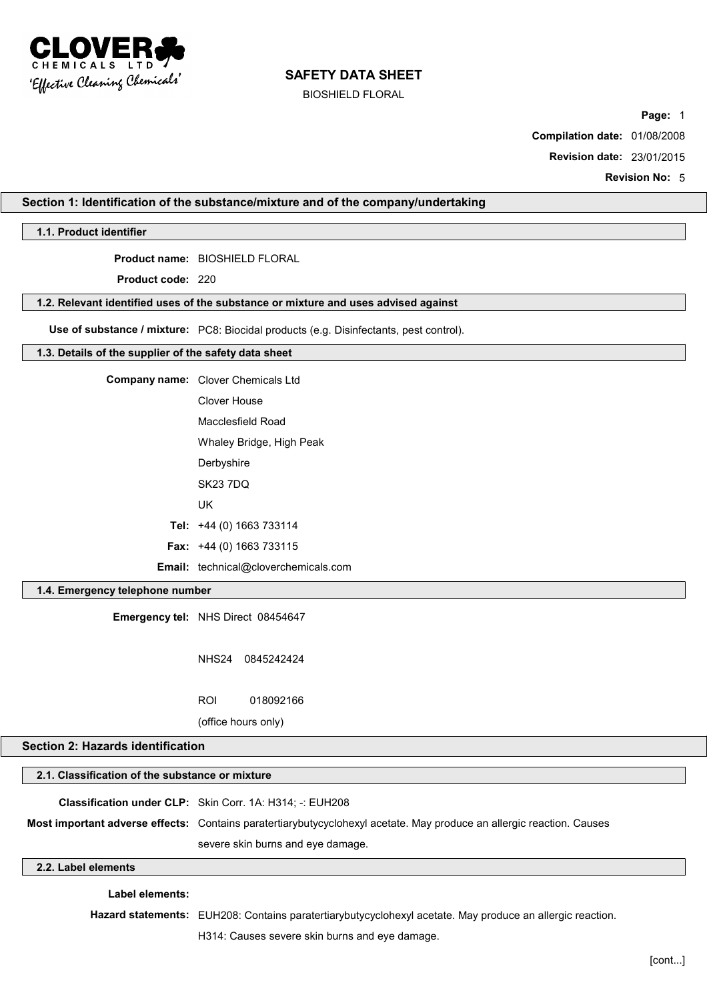

BIOSHIELD FLORAL

**Page:** 1

**Compilation date:** 01/08/2008

**Revision date:** 23/01/2015

**Revision No:** 5

#### **Section 1: Identification of the substance/mixture and of the company/undertaking**

#### **1.1. Product identifier**

**Product name:** BIOSHIELD FLORAL

**Product code:** 220

#### **1.2. Relevant identified uses of the substance or mixture and uses advised against**

**Use of substance / mixture:** PC8: Biocidal products (e.g. Disinfectants, pest control).

#### **1.3. Details of the supplier of the safety data sheet**

**Company name:** Clover Chemicals Ltd Clover House Macclesfield Road Whaley Bridge, High Peak **Derbyshire** SK23 7DQ

UK

**Tel:** +44 (0) 1663 733114

**Fax:** +44 (0) 1663 733115

**Email:** technical@cloverchemicals.com

#### **1.4. Emergency telephone number**

**Emergency tel:** NHS Direct 08454647

NHS24 0845242424

ROI 018092166

(office hours only)

# **Section 2: Hazards identification**

| 2.1. Classification of the substance or mixture |                                                                                                                       |  |
|-------------------------------------------------|-----------------------------------------------------------------------------------------------------------------------|--|
|                                                 | Classification under CLP: Skin Corr. 1A: H314; -: EUH208                                                              |  |
|                                                 | Most important adverse effects: Contains paratertiarybutycyclohexyl acetate. May produce an allergic reaction. Causes |  |
|                                                 | severe skin burns and eye damage.                                                                                     |  |
|                                                 |                                                                                                                       |  |

#### **2.2. Label elements**

**Label elements:**

**Hazard statements:** EUH208: Contains paratertiarybutycyclohexyl acetate. May produce an allergic reaction.

H314: Causes severe skin burns and eye damage.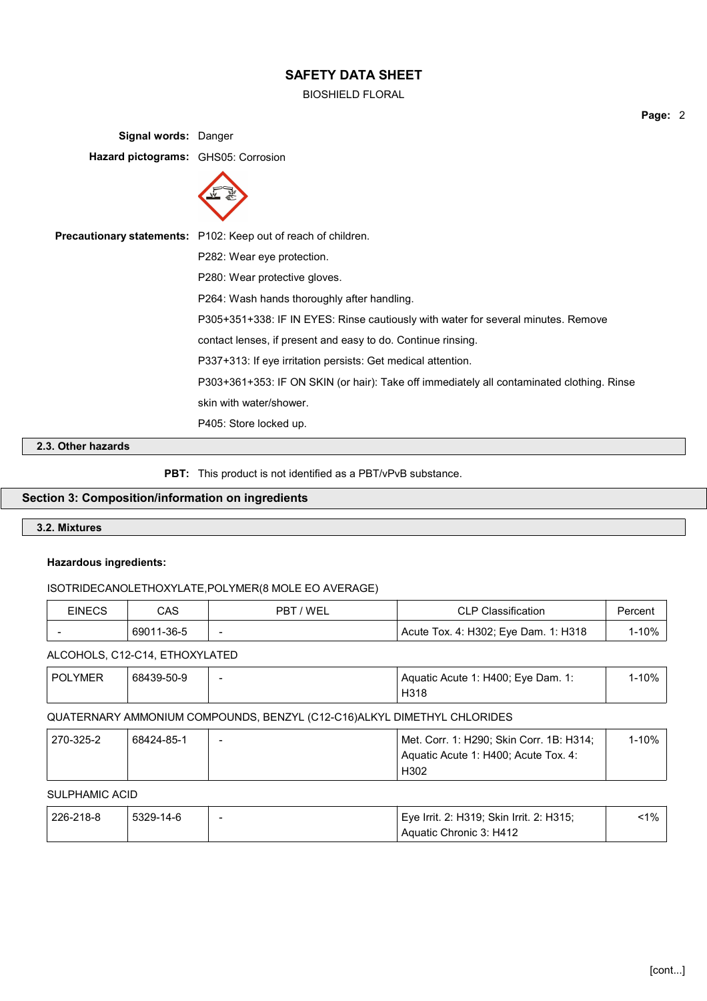BIOSHIELD FLORAL

**Signal words:** Danger **Hazard pictograms:** GHS05: Corrosion



**Precautionary statements:** P102: Keep out of reach of children.

P282: Wear eye protection.

P280: Wear protective gloves.

P264: Wash hands thoroughly after handling.

P305+351+338: IF IN EYES: Rinse cautiously with water for several minutes. Remove

contact lenses, if present and easy to do. Continue rinsing.

P337+313: If eye irritation persists: Get medical attention.

P303+361+353: IF ON SKIN (or hair): Take off immediately all contaminated clothing. Rinse skin with water/shower.

P405: Store locked up.

**2.3. Other hazards**

PBT: This product is not identified as a PBT/vPvB substance.

#### **Section 3: Composition/information on ingredients**

#### **3.2. Mixtures**

#### **Hazardous ingredients:**

#### ISOTRIDECANOLETHOXYLATE,POLYMER(8 MOLE EO AVERAGE)

| <b>EINECS</b> | CAS        | PBT / WEL                | <b>CLP Classification</b>            | Percent |
|---------------|------------|--------------------------|--------------------------------------|---------|
|               | 69011-36-5 | $\overline{\phantom{0}}$ | Acute Tox. 4: H302; Eye Dam. 1: H318 | 1-10%   |

#### ALCOHOLS, C12-C14, ETHOXYLATED

| <b>POLYMER</b> | 68439-50-9 | $\overline{\phantom{0}}$ | $\frac{1}{2}$ Aquatic Acute 1: H400; Eye Dam. 1: | l-10% |
|----------------|------------|--------------------------|--------------------------------------------------|-------|
|                |            |                          | H318                                             |       |

#### QUATERNARY AMMONIUM COMPOUNDS, BENZYL (C12-C16)ALKYL DIMETHYL CHLORIDES

| 270-325-2 | 68424-85-1 | $\overline{\phantom{a}}$ | Met. Corr. 1: H290; Skin Corr. 1B: H314; | 1-10% |
|-----------|------------|--------------------------|------------------------------------------|-------|
|           |            |                          | Aquatic Acute 1: H400; Acute Tox. 4:     |       |
|           |            |                          | H302                                     |       |

#### SULPHAMIC ACID

| 226-218-8 | 5329-14-6 | Eye Irrit. 2: H319; Skin Irrit. 2: H315; | 1% <sup>∙</sup> 1 |
|-----------|-----------|------------------------------------------|-------------------|
|           |           | Aquatic Chronic 3: H412                  |                   |

**Page:** 2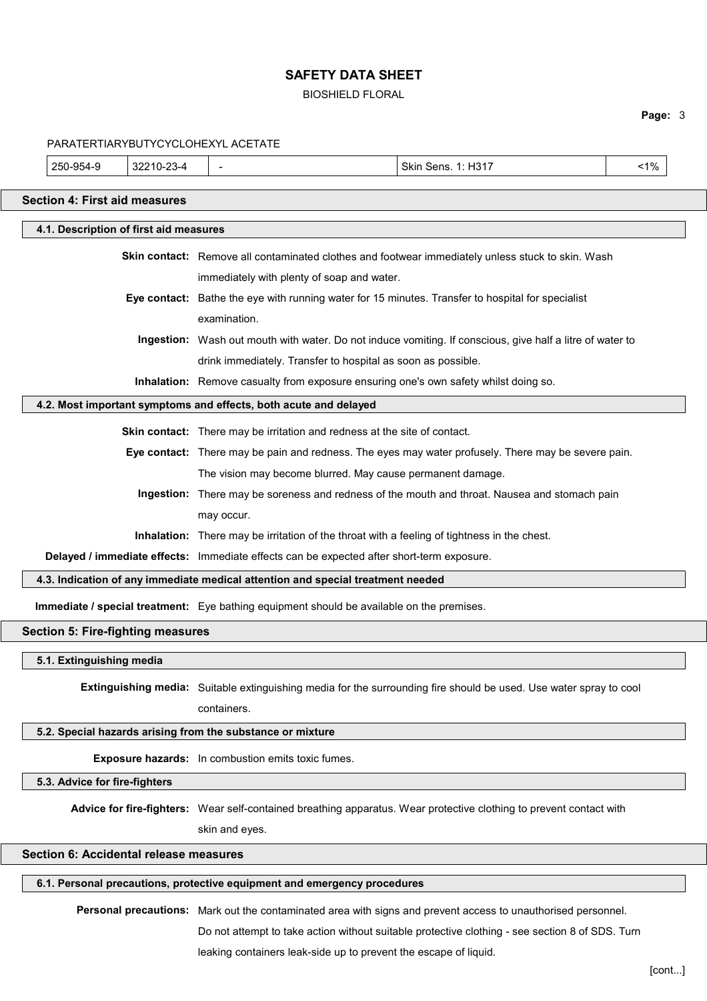#### BIOSHIELD FLORAL

# **Page:** 3

|                                                           |                                          | PARATERTIARYBUTYCYCLOHEXYL ACETATE                                                          |                                                                                                                     |       |
|-----------------------------------------------------------|------------------------------------------|---------------------------------------------------------------------------------------------|---------------------------------------------------------------------------------------------------------------------|-------|
| 250-954-9                                                 | 32210-23-4                               | $\overline{\phantom{a}}$                                                                    | Skin Sens. 1: H317                                                                                                  | $1\%$ |
| <b>Section 4: First aid measures</b>                      |                                          |                                                                                             |                                                                                                                     |       |
|                                                           | 4.1. Description of first aid measures   |                                                                                             |                                                                                                                     |       |
|                                                           |                                          |                                                                                             |                                                                                                                     |       |
|                                                           |                                          |                                                                                             | Skin contact: Remove all contaminated clothes and footwear immediately unless stuck to skin. Wash                   |       |
|                                                           |                                          | immediately with plenty of soap and water.                                                  |                                                                                                                     |       |
|                                                           |                                          |                                                                                             | Eye contact: Bathe the eye with running water for 15 minutes. Transfer to hospital for specialist                   |       |
|                                                           |                                          | examination.                                                                                |                                                                                                                     |       |
|                                                           |                                          |                                                                                             | Ingestion: Wash out mouth with water. Do not induce vomiting. If conscious, give half a litre of water to           |       |
|                                                           |                                          | drink immediately. Transfer to hospital as soon as possible.                                |                                                                                                                     |       |
|                                                           |                                          | Inhalation: Remove casualty from exposure ensuring one's own safety whilst doing so.        |                                                                                                                     |       |
|                                                           |                                          | 4.2. Most important symptoms and effects, both acute and delayed                            |                                                                                                                     |       |
|                                                           |                                          | Skin contact: There may be irritation and redness at the site of contact.                   |                                                                                                                     |       |
|                                                           |                                          |                                                                                             | Eye contact: There may be pain and redness. The eyes may water profusely. There may be severe pain.                 |       |
|                                                           |                                          | The vision may become blurred. May cause permanent damage.                                  |                                                                                                                     |       |
|                                                           |                                          |                                                                                             | Ingestion: There may be soreness and redness of the mouth and throat. Nausea and stomach pain                       |       |
|                                                           |                                          | may occur.                                                                                  |                                                                                                                     |       |
|                                                           |                                          | Inhalation: There may be irritation of the throat with a feeling of tightness in the chest. |                                                                                                                     |       |
|                                                           |                                          | Delayed / immediate effects: Immediate effects can be expected after short-term exposure.   |                                                                                                                     |       |
|                                                           |                                          | 4.3. Indication of any immediate medical attention and special treatment needed             |                                                                                                                     |       |
|                                                           |                                          | Immediate / special treatment: Eye bathing equipment should be available on the premises.   |                                                                                                                     |       |
|                                                           | <b>Section 5: Fire-fighting measures</b> |                                                                                             |                                                                                                                     |       |
| 5.1. Extinguishing media                                  |                                          |                                                                                             |                                                                                                                     |       |
|                                                           |                                          |                                                                                             |                                                                                                                     |       |
|                                                           |                                          |                                                                                             | Extinguishing media: Suitable extinguishing media for the surrounding fire should be used. Use water spray to cool  |       |
|                                                           |                                          | containers.                                                                                 |                                                                                                                     |       |
|                                                           |                                          | 5.2. Special hazards arising from the substance or mixture                                  |                                                                                                                     |       |
| <b>Exposure hazards:</b> In combustion emits toxic fumes. |                                          |                                                                                             |                                                                                                                     |       |
| 5.3. Advice for fire-fighters                             |                                          |                                                                                             |                                                                                                                     |       |
|                                                           |                                          |                                                                                             | Advice for fire-fighters: Wear self-contained breathing apparatus. Wear protective clothing to prevent contact with |       |
|                                                           |                                          | skin and eyes.                                                                              |                                                                                                                     |       |
|                                                           | Section 6: Accidental release measures   |                                                                                             |                                                                                                                     |       |
|                                                           |                                          | 6.1. Personal precautions, protective equipment and emergency procedures                    |                                                                                                                     |       |
|                                                           |                                          |                                                                                             |                                                                                                                     |       |
|                                                           |                                          |                                                                                             | Personal precautions: Mark out the contaminated area with signs and prevent access to unauthorised personnel.       |       |
|                                                           |                                          |                                                                                             | Do not attempt to take action without suitable protective clothing - see section 8 of SDS. Turn                     |       |

leaking containers leak-side up to prevent the escape of liquid.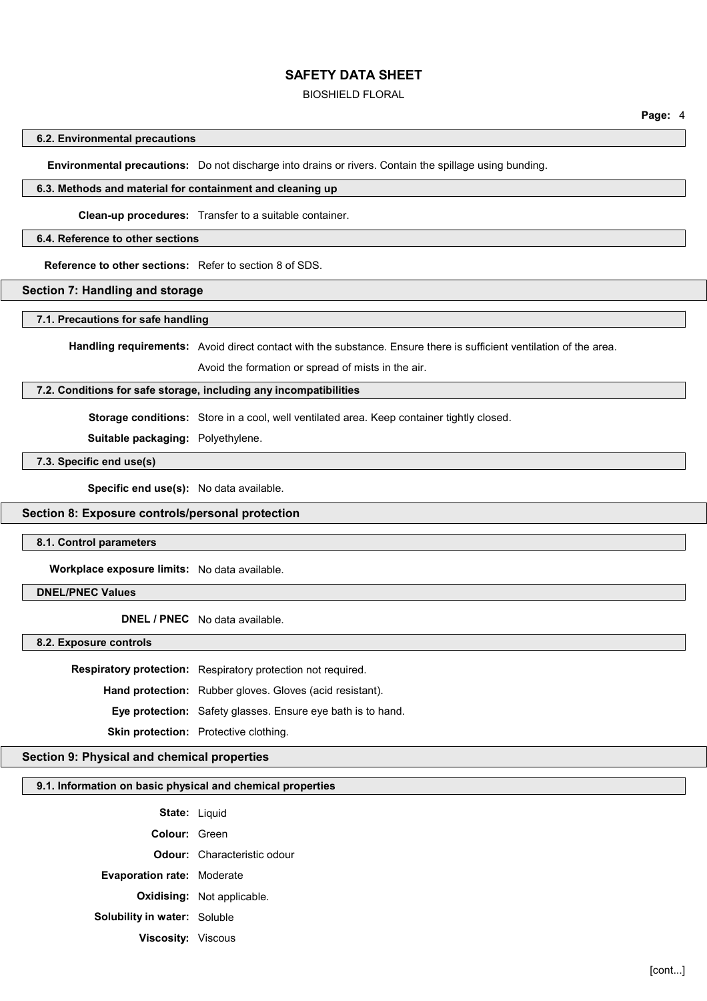#### BIOSHIELD FLORAL

#### **6.2. Environmental precautions**

**Environmental precautions:** Do not discharge into drains or rivers. Contain the spillage using bunding.

#### **6.3. Methods and material for containment and cleaning up**

**Clean-up procedures:** Transfer to a suitable container.

#### **6.4. Reference to other sections**

**Reference to other sections:** Refer to section 8 of SDS.

#### **Section 7: Handling and storage**

#### **7.1. Precautions for safe handling**

**Handling requirements:** Avoid direct contact with the substance. Ensure there is sufficient ventilation of the area.

Avoid the formation or spread of mists in the air.

#### **7.2. Conditions for safe storage, including any incompatibilities**

**Storage conditions:** Store in a cool, well ventilated area. Keep container tightly closed.

**Suitable packaging:** Polyethylene.

#### **7.3. Specific end use(s)**

**Specific end use(s):** No data available.

#### **Section 8: Exposure controls/personal protection**

#### **8.1. Control parameters**

**Workplace exposure limits:** No data available.

#### **DNEL/PNEC Values**

**DNEL / PNEC** No data available.

**8.2. Exposure controls**

**Respiratory protection:** Respiratory protection not required.

**Hand protection:** Rubber gloves. Gloves (acid resistant).

**Eye protection:** Safety glasses. Ensure eye bath is to hand.

**Skin protection:** Protective clothing.

#### **Section 9: Physical and chemical properties**

#### **9.1. Information on basic physical and chemical properties**

| <b>State: Liquid</b>                |                                    |
|-------------------------------------|------------------------------------|
| Colour: Green                       |                                    |
|                                     | <b>Odour:</b> Characteristic odour |
| <b>Evaporation rate: Moderate</b>   |                                    |
|                                     | <b>Oxidising:</b> Not applicable.  |
| <b>Solubility in water: Soluble</b> |                                    |
| <b>Viscosity: Viscous</b>           |                                    |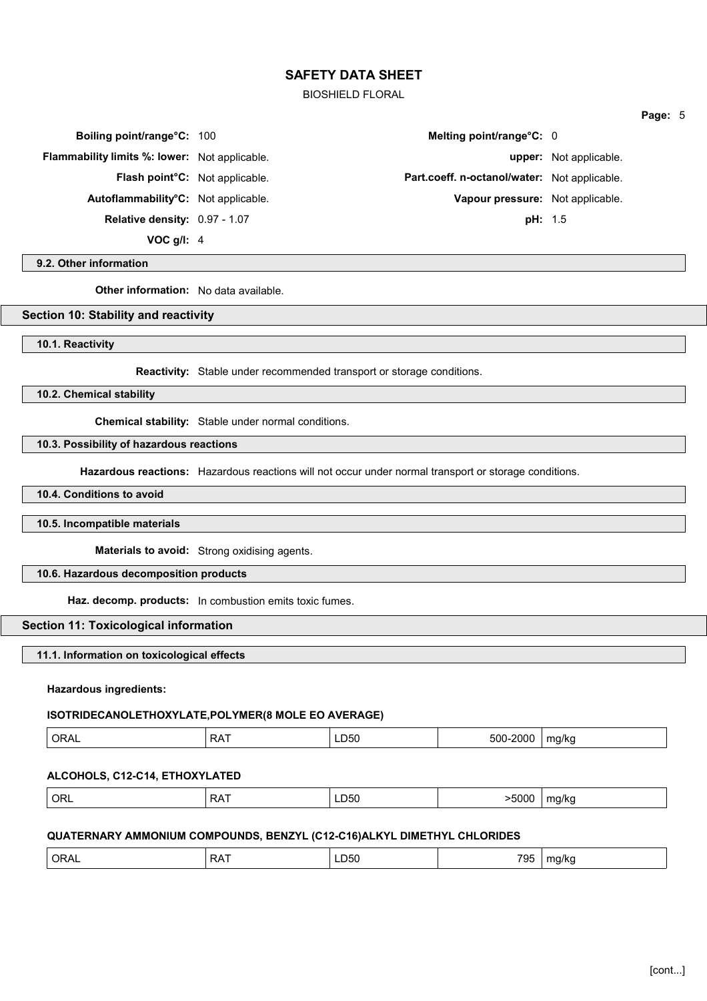BIOSHIELD FLORAL

**Boiling point/range°C:** 100 **Melting point/range°C:** 0

**Flammability limits %: lower:** Not applicable. **upper:** Not applicable.

**Relative density:** 0.97 - 1.07 **pH:** 1.5

**VOC g/l:** 4

# **9.2. Other information**

**Other information:** No data available.

#### **Section 10: Stability and reactivity**

**10.1. Reactivity**

**Reactivity:** Stable under recommended transport or storage conditions.

**10.2. Chemical stability**

**Chemical stability:** Stable under normal conditions.

#### **10.3. Possibility of hazardous reactions**

**Hazardous reactions:** Hazardous reactions will not occur under normal transport or storage conditions.

**10.4. Conditions to avoid**

#### **10.5. Incompatible materials**

**Materials to avoid:** Strong oxidising agents.

# **10.6. Hazardous decomposition products**

**Haz. decomp. products:** In combustion emits toxic fumes.

#### **Section 11: Toxicological information**

**11.1. Information on toxicological effects**

#### **Hazardous ingredients:**

# **ISOTRIDECANOLETHOXYLATE,POLYMER(8 MOLE EO AVERAGE)**

| ມ5ເ<br>חי.<br>——<br>$  -$<br>$ -$<br>.<br>. .<br>. . |
|------------------------------------------------------|
|------------------------------------------------------|

# **ALCOHOLS, C12-C14, ETHOXYLATED**

| >5000<br>ORL<br>^ כ<br>ma/ka<br>LD50<br>. . |
|---------------------------------------------|
|---------------------------------------------|

# **QUATERNARY AMMONIUM COMPOUNDS, BENZYL (C12-C16)ALKYL DIMETHYL CHLORIDES**

| ORAL | ' RA. | . וריי<br>. | 705<br>ັບພ<br>$\cdot$ $\cdot$ $\cdot$ | . . |  |
|------|-------|-------------|---------------------------------------|-----|--|
|      |       |             |                                       |     |  |

# **Flash point°C:** Not applicable. **Part.coeff. n-octanol/water:** Not applicable. **Autoflammability°C:** Not applicable. **Vapour pressure:** Not applicable.

**Page:** 5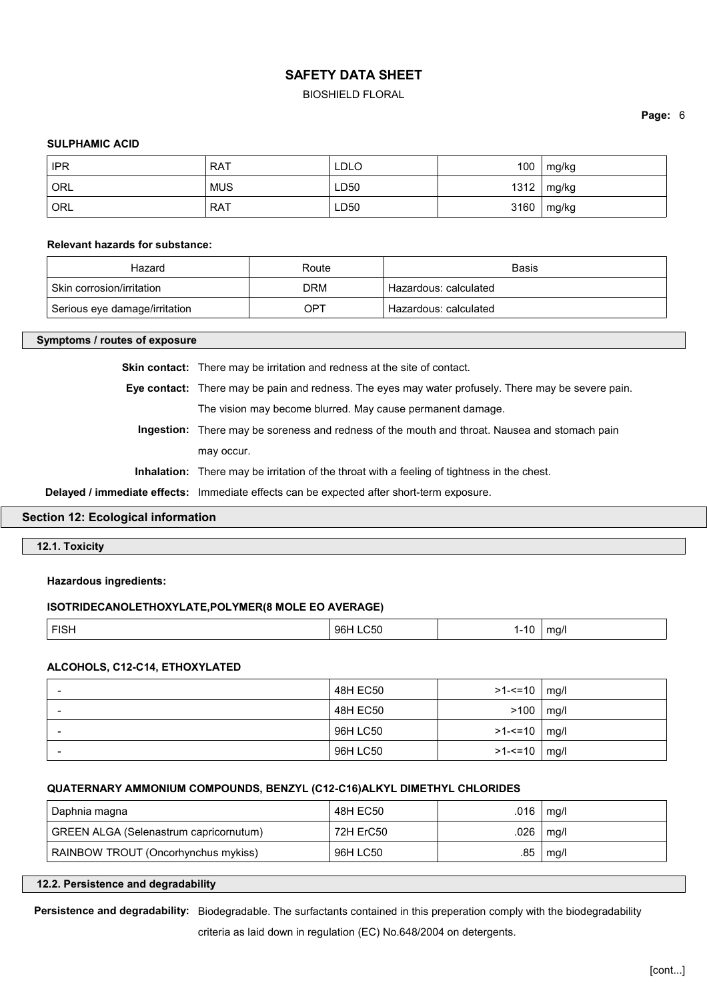#### BIOSHIELD FLORAL

**Page:** 6

#### **SULPHAMIC ACID**

| <b>IPR</b> | <b>RAT</b> | <b>LDLO</b> | 100  | mg/kg |
|------------|------------|-------------|------|-------|
| ORL        | <b>MUS</b> | LD50        | 1312 | mg/kg |
| ORL        | <b>RAT</b> | LD50        | 3160 | mg/kg |

#### **Relevant hazards for substance:**

| Hazard                        | Route | Basis                   |
|-------------------------------|-------|-------------------------|
| Skin corrosion/irritation     | DRM   | Hazardous: calculated   |
| Serious eye damage/irritation | OPT   | ' Hazardous: calculated |

#### **Symptoms / routes of exposure**

**Skin contact:** There may be irritation and redness at the site of contact.

**Eye contact:** There may be pain and redness. The eyes may water profusely. There may be severe pain. The vision may become blurred. May cause permanent damage.

**Ingestion:** There may be soreness and redness of the mouth and throat. Nausea and stomach pain may occur.

**Inhalation:** There may be irritation of the throat with a feeling of tightness in the chest.

**Delayed / immediate effects:** Immediate effects can be expected after short-term exposure.

#### **Section 12: Ecological information**

**12.1. Toxicity**

#### **Hazardous ingredients:**

#### **ISOTRIDECANOLETHOXYLATE,POLYMER(8 MOLE EO AVERAGE)**

| F(0)<br>$\sim$<br>rion. | 250<br>96H | c<br>$\sim$ | $-2$ |
|-------------------------|------------|-------------|------|
|-------------------------|------------|-------------|------|

#### **ALCOHOLS, C12-C14, ETHOXYLATED**

| $\overline{\phantom{0}}$ | 48H EC50 | >1-<=10   mg/l   |      |
|--------------------------|----------|------------------|------|
| $\overline{\phantom{a}}$ | 48H EC50 | >100             | mq/l |
| $\overline{\phantom{a}}$ | 96H LC50 | $>1 - 10$   mg/  |      |
| $\overline{\phantom{0}}$ | 96H LC50 | $>1 - 10$   mg/l |      |

#### **QUATERNARY AMMONIUM COMPOUNDS, BENZYL (C12-C16)ALKYL DIMETHYL CHLORIDES**

| Daphnia magna                          | 48H EC50  | .016 | mg/l |
|----------------------------------------|-----------|------|------|
| GREEN ALGA (Selenastrum capricornutum) | 72H ErC50 | .026 | mg/l |
| RAINBOW TROUT (Oncorhynchus mykiss)    | 96H LC50  | .85  | mg/l |

#### **12.2. Persistence and degradability**

**Persistence and degradability:** Biodegradable. The surfactants contained in this preperation comply with the biodegradability

criteria as laid down in regulation (EC) No.648/2004 on detergents.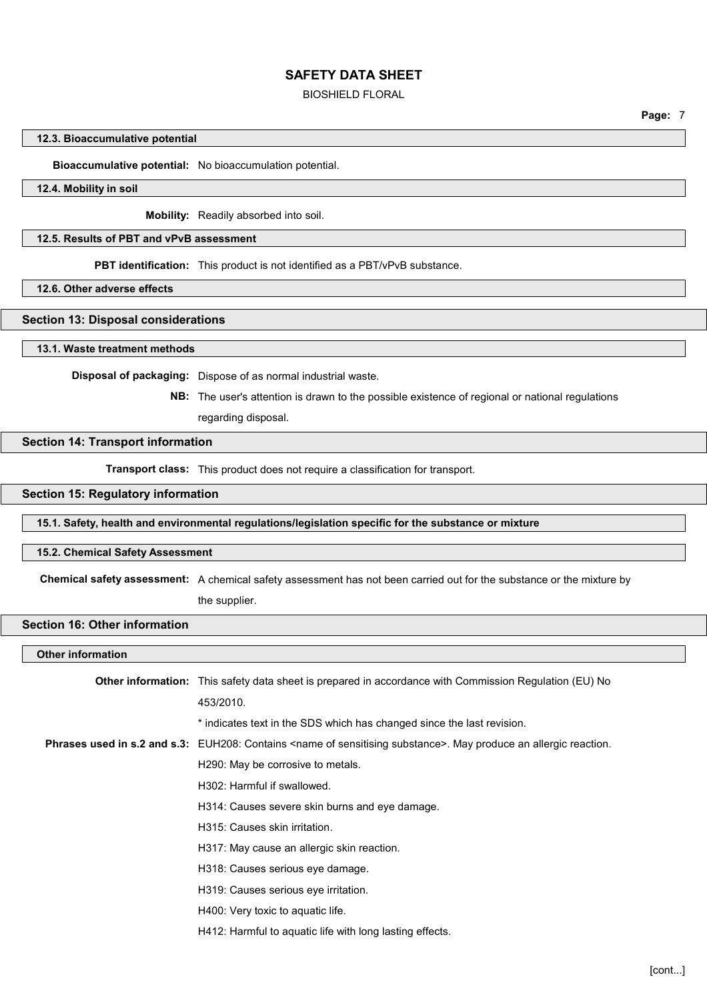#### BIOSHIELD FLORAL

**Page:** 7

#### **12.3. Bioaccumulative potential**

#### **Bioaccumulative potential:** No bioaccumulation potential.

#### **12.4. Mobility in soil**

**Mobility:** Readily absorbed into soil.

#### **12.5. Results of PBT and vPvB assessment**

**PBT identification:** This product is not identified as a PBT/vPvB substance.

**12.6. Other adverse effects**

#### **Section 13: Disposal considerations**

**13.1. Waste treatment methods**

**Disposal of packaging:** Dispose of as normal industrial waste.

**NB:** The user's attention is drawn to the possible existence of regional or national regulations

regarding disposal.

#### **Section 14: Transport information**

**Transport class:** This product does not require a classification for transport.

#### **Section 15: Regulatory information**

**15.1. Safety, health and environmental regulations/legislation specific for the substance or mixture**

#### **15.2. Chemical Safety Assessment**

**Chemical safety assessment:** A chemical safety assessment has not been carried out for the substance or the mixture by the supplier.

#### **Section 16: Other information**

#### **Other information**

| <b>Other information:</b> This safety data sheet is prepared in accordance with Commission Regulation (EU) No                    |
|----------------------------------------------------------------------------------------------------------------------------------|
| 453/2010.                                                                                                                        |
| * indicates text in the SDS which has changed since the last revision.                                                           |
| Phrases used in s.2 and s.3: EUH208: Contains <name of="" sensitising="" substance="">. May produce an allergic reaction.</name> |
| H290: May be corrosive to metals.                                                                                                |
| H302: Harmful if swallowed.                                                                                                      |
| H314: Causes severe skin burns and eye damage.                                                                                   |
| H315: Causes skin irritation.                                                                                                    |
| H317: May cause an allergic skin reaction.                                                                                       |
| H318: Causes serious eye damage.                                                                                                 |
| H319: Causes serious eye irritation.                                                                                             |
| H400: Very toxic to aquatic life.                                                                                                |
| H412: Harmful to aquatic life with long lasting effects.                                                                         |